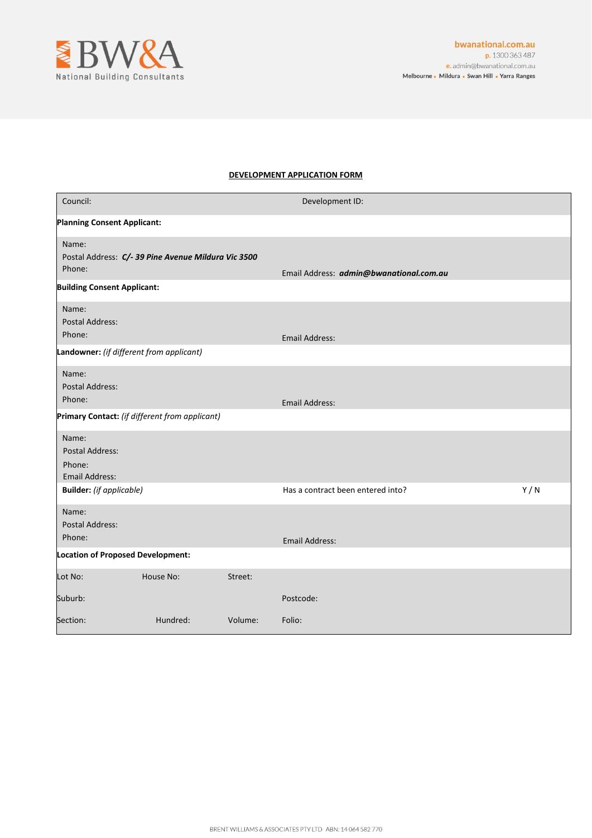

# **DEVELOPMENT APPLICATION FORM**

| Council:                                                           |                                                     |         | Development ID:                         |     |  |  |
|--------------------------------------------------------------------|-----------------------------------------------------|---------|-----------------------------------------|-----|--|--|
| <b>Planning Consent Applicant:</b>                                 |                                                     |         |                                         |     |  |  |
| Name:<br>Phone:                                                    | Postal Address: C/- 39 Pine Avenue Mildura Vic 3500 |         | Email Address: admin@bwanational.com.au |     |  |  |
| <b>Building Consent Applicant:</b>                                 |                                                     |         |                                         |     |  |  |
| Name:<br><b>Postal Address:</b><br>Phone:                          |                                                     |         | <b>Email Address:</b>                   |     |  |  |
|                                                                    | Landowner: (if different from applicant)            |         |                                         |     |  |  |
| Name:<br>Postal Address:<br>Phone:                                 |                                                     |         | <b>Email Address:</b>                   |     |  |  |
|                                                                    | Primary Contact: (if different from applicant)      |         |                                         |     |  |  |
| Name:<br><b>Postal Address:</b><br>Phone:<br><b>Email Address:</b> |                                                     |         |                                         |     |  |  |
| <b>Builder:</b> (if applicable)                                    |                                                     |         | Has a contract been entered into?       | Y/N |  |  |
| Name:<br>Postal Address:<br>Phone:                                 |                                                     |         | <b>Email Address:</b>                   |     |  |  |
| Location of Proposed Development:                                  |                                                     |         |                                         |     |  |  |
| Lot No:                                                            | House No:                                           | Street: |                                         |     |  |  |
| Suburb:                                                            |                                                     |         | Postcode:                               |     |  |  |
| Section:                                                           | Hundred:                                            | Volume: | Folio:                                  |     |  |  |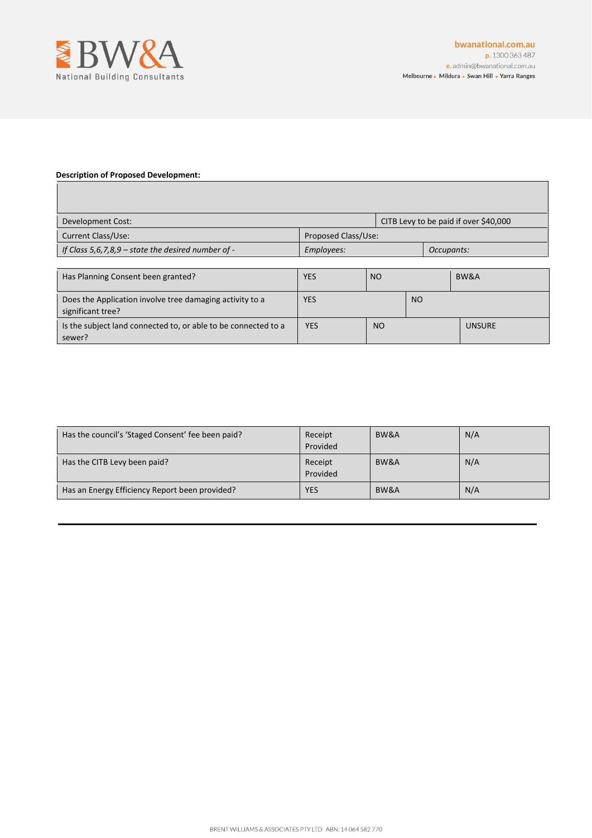

### **Description of Proposed Development:**

 $\mathsf{l}$ 

| Development Cost:                                                             | CITB Levy to be paid if over \$40,000 |                |                |               |  |
|-------------------------------------------------------------------------------|---------------------------------------|----------------|----------------|---------------|--|
| Current Class/Use:<br>Proposed Class/Use:                                     |                                       |                |                |               |  |
| If Class 5,6,7,8,9 - state the desired number of -                            | Employees:                            |                |                | Occupants:    |  |
|                                                                               |                                       |                |                |               |  |
| Has Planning Consent been granted?                                            | YES                                   | N <sub>O</sub> |                | BW&A          |  |
| Does the Application involve tree damaging activity to a<br>significant tree? | <b>YES</b>                            |                | N <sub>O</sub> |               |  |
| Is the subject land connected to, or able to be connected to a<br>sewer?      | <b>YES</b>                            | <b>NO</b>      |                | <b>UNSURE</b> |  |

| Has the council's 'Staged Consent' fee been paid? | Receipt<br>Provided | BW&A | N/A |
|---------------------------------------------------|---------------------|------|-----|
| Has the CITB Levy been paid?                      | Receipt<br>Provided | BW&A | N/A |
| Has an Energy Efficiency Report been provided?    | <b>YES</b>          | BW&A | N/A |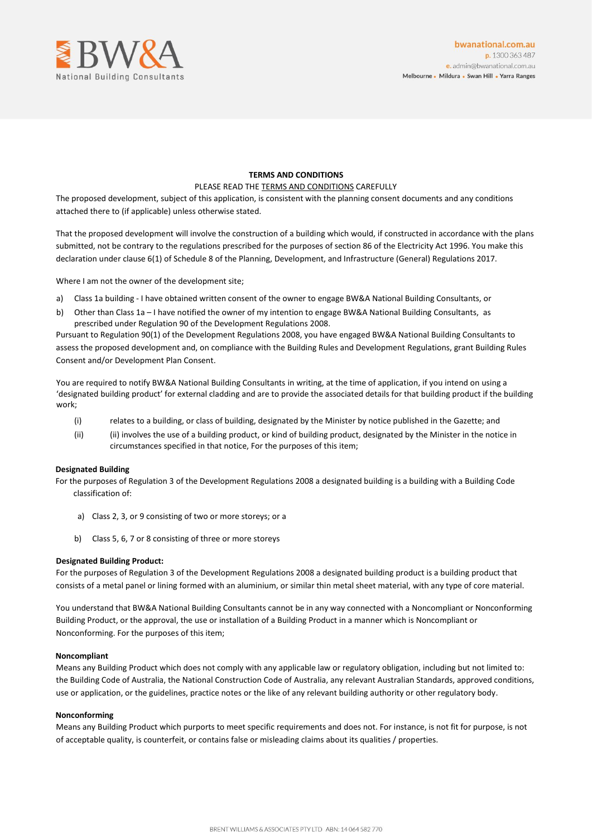

## **TERMS AND CONDITIONS**

### PLEASE READ THE TERMS AND CONDITIONS CAREFULLY

The proposed development, subject of this application, is consistent with the planning consent documents and any conditions attached there to (if applicable) unless otherwise stated.

That the proposed development will involve the construction of a building which would, if constructed in accordance with the plans submitted, not be contrary to the regulations prescribed for the purposes of section 86 of the Electricity Act 1996. You make this declaration under clause 6(1) of Schedule 8 of the Planning, Development, and Infrastructure (General) Regulations 2017.

Where I am not the owner of the development site;

- a) Class 1a building I have obtained written consent of the owner to engage BW&A National Building Consultants, or
- b) Other than Class 1a I have notified the owner of my intention to engage BW&A National Building Consultants, as prescribed under Regulation 90 of the Development Regulations 2008.

Pursuant to Regulation 90(1) of the Development Regulations 2008, you have engaged BW&A National Building Consultants to assess the proposed development and, on compliance with the Building Rules and Development Regulations, grant Building Rules Consent and/or Development Plan Consent.

You are required to notify BW&A National Building Consultants in writing, at the time of application, if you intend on using a 'designated building product' for external cladding and are to provide the associated details for that building product if the building work;

- (i) relates to a building, or class of building, designated by the Minister by notice published in the Gazette; and
- (ii) (ii) involves the use of a building product, or kind of building product, designated by the Minister in the notice in circumstances specified in that notice, For the purposes of this item;

### **Designated Building**

For the purposes of Regulation 3 of the Development Regulations 2008 a designated building is a building with a Building Code classification of:

- a) Class 2, 3, or 9 consisting of two or more storeys; or a
- b) Class 5, 6, 7 or 8 consisting of three or more storeys

## **Designated Building Product:**

For the purposes of Regulation 3 of the Development Regulations 2008 a designated building product is a building product that consists of a metal panel or lining formed with an aluminium, or similar thin metal sheet material, with any type of core material.

You understand that BW&A National Building Consultants cannot be in any way connected with a Noncompliant or Nonconforming Building Product, or the approval, the use or installation of a Building Product in a manner which is Noncompliant or Nonconforming. For the purposes of this item;

### **Noncompliant**

Means any Building Product which does not comply with any applicable law or regulatory obligation, including but not limited to: the Building Code of Australia, the National Construction Code of Australia, any relevant Australian Standards, approved conditions, use or application, or the guidelines, practice notes or the like of any relevant building authority or other regulatory body.

#### **Nonconforming**

Means any Building Product which purports to meet specific requirements and does not. For instance, is not fit for purpose, is not of acceptable quality, is counterfeit, or contains false or misleading claims about its qualities / properties.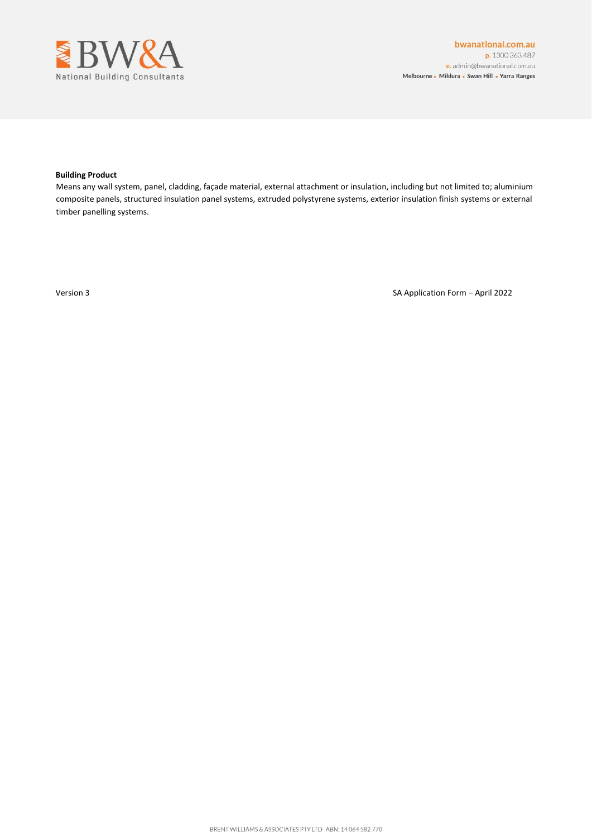

#### **Building Product**

Means any wall system, panel, cladding, façade material, external attachment or insulation, including but not limited to; aluminium composite panels, structured insulation panel systems, extruded polystyrene systems, exterior insulation finish systems or external timber panelling systems.

Version 3 SA Application Form – April 2022